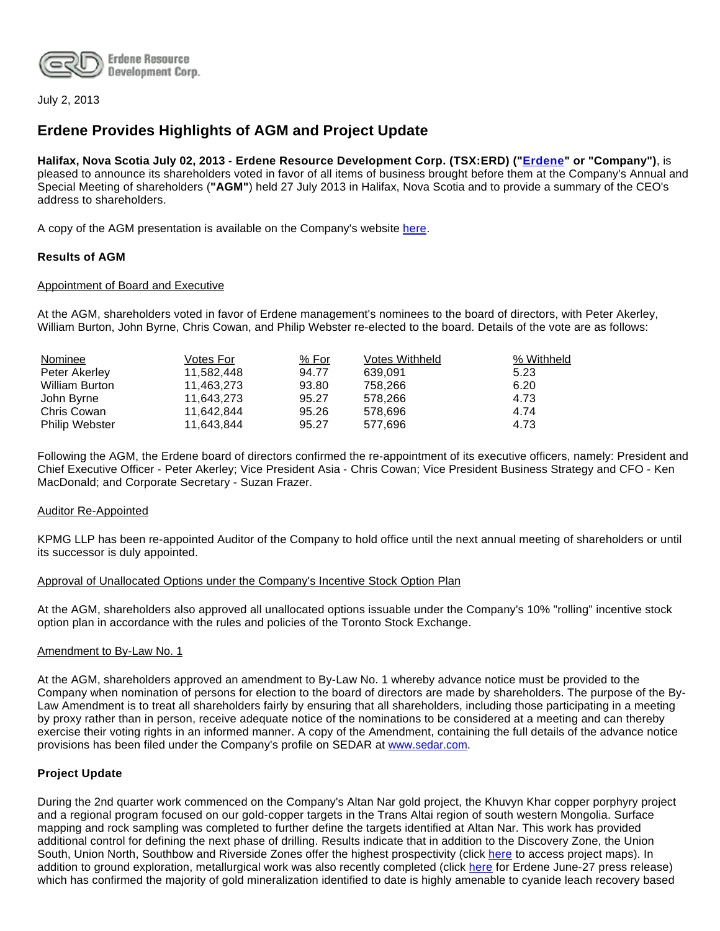

July 2, 2013

# **Erdene Provides Highlights of AGM and Project Update**

**Halifax, Nova Scotia July 02, 2013 - Erdene Resource Development Corp. (TSX:ERD) ("[Erdene](http://www.erdene.com/)" or "Company")**, is pleased to announce its shareholders voted in favor of all items of business brought before them at the Company's Annual and Special Meeting of shareholders (**"AGM"**) held 27 July 2013 in Halifax, Nova Scotia and to provide a summary of the CEO's address to shareholders.

A copy of the AGM presentation is available on the Company's website [here.](http://www.erdene.com/news10/eventsWebcasts11.php)

#### **Results of AGM**

#### Appointment of Board and Executive

At the AGM, shareholders voted in favor of Erdene management's nominees to the board of directors, with Peter Akerley, William Burton, John Byrne, Chris Cowan, and Philip Webster re-elected to the board. Details of the vote are as follows:

| Nominee               | Votes For  | % For | <b>Votes Withheld</b> | % Withheld |
|-----------------------|------------|-------|-----------------------|------------|
| Peter Akerley         | 11.582.448 | 94.77 | 639.091               | 5.23       |
| <b>William Burton</b> | 11.463.273 | 93.80 | 758.266               | 6.20       |
| John Byrne            | 11.643.273 | 95.27 | 578.266               | 4.73       |
| Chris Cowan           | 11.642.844 | 95.26 | 578.696               | 4.74       |
| <b>Philip Webster</b> | 11.643.844 | 95.27 | 577.696               | 4.73       |

Following the AGM, the Erdene board of directors confirmed the re-appointment of its executive officers, namely: President and Chief Executive Officer - Peter Akerley; Vice President Asia - Chris Cowan; Vice President Business Strategy and CFO - Ken MacDonald; and Corporate Secretary - Suzan Frazer.

#### Auditor Re-Appointed

KPMG LLP has been re-appointed Auditor of the Company to hold office until the next annual meeting of shareholders or until its successor is duly appointed.

#### Approval of Unallocated Options under the Company's Incentive Stock Option Plan

At the AGM, shareholders also approved all unallocated options issuable under the Company's 10% "rolling" incentive stock option plan in accordance with the rules and policies of the Toronto Stock Exchange.

#### Amendment to By-Law No. 1

At the AGM, shareholders approved an amendment to By-Law No. 1 whereby advance notice must be provided to the Company when nomination of persons for election to the board of directors are made by shareholders. The purpose of the By-Law Amendment is to treat all shareholders fairly by ensuring that all shareholders, including those participating in a meeting by proxy rather than in person, receive adequate notice of the nominations to be considered at a meeting and can thereby exercise their voting rights in an informed manner. A copy of the Amendment, containing the full details of the advance notice provisions has been filed under the Company's profile on SEDAR at [www.sedar.com.](http://www.sedar.com/)

#### **Project Update**

During the 2nd quarter work commenced on the Company's Altan Nar gold project, the Khuvyn Khar copper porphyry project and a regional program focused on our gold-copper targets in the Trans Altai region of south western Mongolia. Surface mapping and rock sampling was completed to further define the targets identified at Altan Nar. This work has provided additional control for defining the next phase of drilling. Results indicate that in addition to the Discovery Zone, the Union South, Union North, Southbow and Riverside Zones offer the highest prospectivity (click [here](http://www.erdene.com/projects40/zuunMod42b8.php) to access project maps). In addition to ground exploration, metallurgical work was also recently completed (click [here](http://investor.shareholder.com/erd/releasedetail.cfm?ReleaseID=774320) for Erdene June-27 press release) which has confirmed the majority of gold mineralization identified to date is highly amenable to cyanide leach recovery based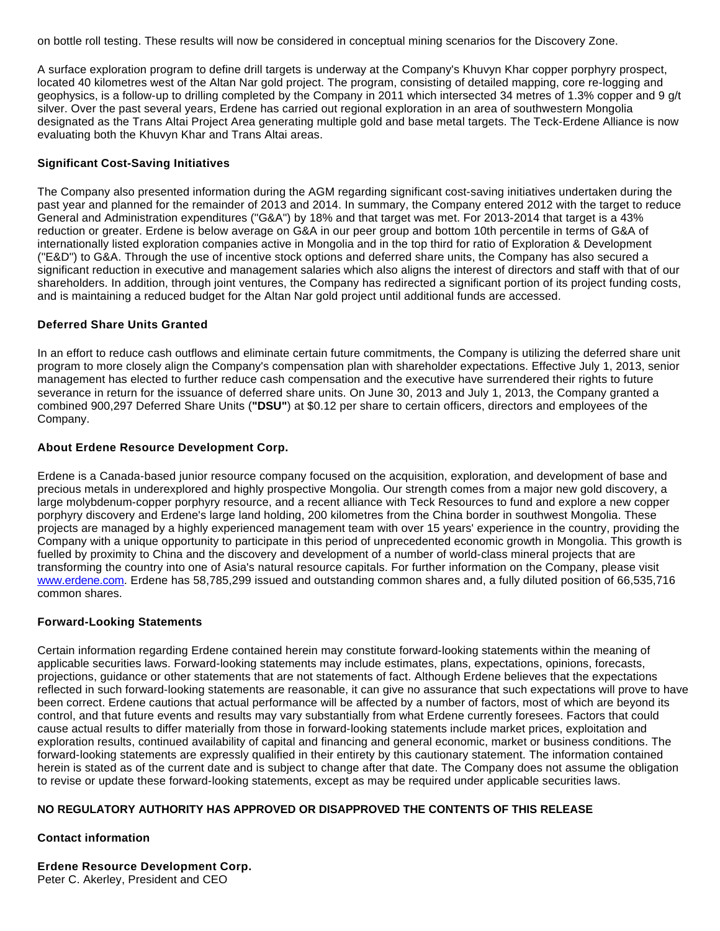on bottle roll testing. These results will now be considered in conceptual mining scenarios for the Discovery Zone.

A surface exploration program to define drill targets is underway at the Company's Khuvyn Khar copper porphyry prospect, located 40 kilometres west of the Altan Nar gold project. The program, consisting of detailed mapping, core re-logging and geophysics, is a follow-up to drilling completed by the Company in 2011 which intersected 34 metres of 1.3% copper and 9 g/t silver. Over the past several years, Erdene has carried out regional exploration in an area of southwestern Mongolia designated as the Trans Altai Project Area generating multiple gold and base metal targets. The Teck-Erdene Alliance is now evaluating both the Khuvyn Khar and Trans Altai areas.

## **Significant Cost-Saving Initiatives**

The Company also presented information during the AGM regarding significant cost-saving initiatives undertaken during the past year and planned for the remainder of 2013 and 2014. In summary, the Company entered 2012 with the target to reduce General and Administration expenditures ("G&A") by 18% and that target was met. For 2013-2014 that target is a 43% reduction or greater. Erdene is below average on G&A in our peer group and bottom 10th percentile in terms of G&A of internationally listed exploration companies active in Mongolia and in the top third for ratio of Exploration & Development ("E&D") to G&A. Through the use of incentive stock options and deferred share units, the Company has also secured a significant reduction in executive and management salaries which also aligns the interest of directors and staff with that of our shareholders. In addition, through joint ventures, the Company has redirected a significant portion of its project funding costs, and is maintaining a reduced budget for the Altan Nar gold project until additional funds are accessed.

## **Deferred Share Units Granted**

In an effort to reduce cash outflows and eliminate certain future commitments, the Company is utilizing the deferred share unit program to more closely align the Company's compensation plan with shareholder expectations. Effective July 1, 2013, senior management has elected to further reduce cash compensation and the executive have surrendered their rights to future severance in return for the issuance of deferred share units. On June 30, 2013 and July 1, 2013, the Company granted a combined 900,297 Deferred Share Units (**"DSU"**) at \$0.12 per share to certain officers, directors and employees of the Company.

## **About Erdene Resource Development Corp.**

Erdene is a Canada-based junior resource company focused on the acquisition, exploration, and development of base and precious metals in underexplored and highly prospective Mongolia. Our strength comes from a major new gold discovery, a large molybdenum-copper porphyry resource, and a recent alliance with Teck Resources to fund and explore a new copper porphyry discovery and Erdene's large land holding, 200 kilometres from the China border in southwest Mongolia. These projects are managed by a highly experienced management team with over 15 years' experience in the country, providing the Company with a unique opportunity to participate in this period of unprecedented economic growth in Mongolia. This growth is fuelled by proximity to China and the discovery and development of a number of world-class mineral projects that are transforming the country into one of Asia's natural resource capitals. For further information on the Company, please visit [www.erdene.com](file:///C:/Users/User/AppData/Local/Microsoft/Windows/Temporary%20Internet%20Files/Content.Outlook/AQIHEH4C/www.erdene.com). Erdene has 58,785,299 issued and outstanding common shares and, a fully diluted position of 66,535,716 common shares.

# **Forward-Looking Statements**

Certain information regarding Erdene contained herein may constitute forward-looking statements within the meaning of applicable securities laws. Forward-looking statements may include estimates, plans, expectations, opinions, forecasts, projections, guidance or other statements that are not statements of fact. Although Erdene believes that the expectations reflected in such forward-looking statements are reasonable, it can give no assurance that such expectations will prove to have been correct. Erdene cautions that actual performance will be affected by a number of factors, most of which are beyond its control, and that future events and results may vary substantially from what Erdene currently foresees. Factors that could cause actual results to differ materially from those in forward-looking statements include market prices, exploitation and exploration results, continued availability of capital and financing and general economic, market or business conditions. The forward-looking statements are expressly qualified in their entirety by this cautionary statement. The information contained herein is stated as of the current date and is subject to change after that date. The Company does not assume the obligation to revise or update these forward-looking statements, except as may be required under applicable securities laws.

# **NO REGULATORY AUTHORITY HAS APPROVED OR DISAPPROVED THE CONTENTS OF THIS RELEASE**

# **Contact information**

**Erdene Resource Development Corp.** Peter C. Akerley, President and CEO